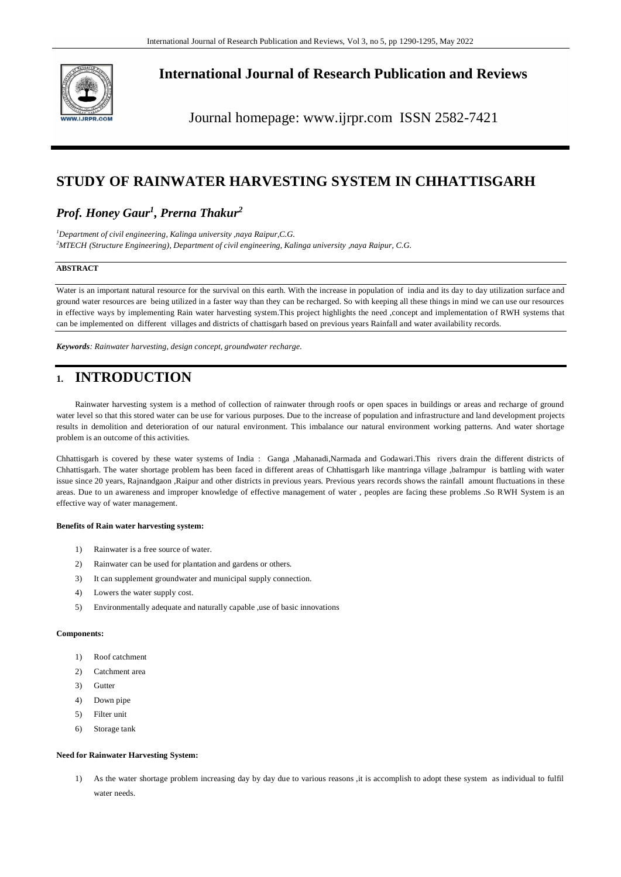

# **International Journal of Research Publication and Reviews**

Journal homepage: www.ijrpr.com ISSN 2582-7421

# **STUDY OF RAINWATER HARVESTING SYSTEM IN CHHATTISGARH**

# *Prof. Honey Gaur<sup>1</sup> , Prerna Thakur<sup>2</sup>*

*<sup>1</sup>Department of civil engineering, Kalinga university ,naya Raipur,C.G. <sup>2</sup>MTECH (Structure Engineering), Department of civil engineering, Kalinga university ,naya Raipur, C.G.* 

## **ABSTRACT**

Water is an important natural resource for the survival on this earth. With the increase in population of india and its day to day utilization surface and ground water resources are being utilized in a faster way than they can be recharged. So with keeping all these things in mind we can use our resources in effective ways by implementing Rain water harvesting system.This project highlights the need ,concept and implementation of RWH systems that can be implemented on different villages and districts of chattisgarh based on previous years Rainfall and water availability records.

*Keywords: Rainwater harvesting, design concept, groundwater recharge.*

# **1. INTRODUCTION**

Rainwater harvesting system is a method of collection of rainwater through roofs or open spaces in buildings or areas and recharge of ground water level so that this stored water can be use for various purposes. Due to the increase of population and infrastructure and land development projects results in demolition and deterioration of our natural environment. This imbalance our natural environment working patterns. And water shortage problem is an outcome of this activities.

Chhattisgarh is covered by these water systems of India : Ganga ,Mahanadi,Narmada and Godawari.This rivers drain the different districts of Chhattisgarh. The water shortage problem has been faced in different areas of Chhattisgarh like mantringa village ,balrampur is battling with water issue since 20 years, Rajnandgaon ,Raipur and other districts in previous years. Previous years records shows the rainfall amount fluctuations in these areas. Due to un awareness and improper knowledge of effective management of water , peoples are facing these problems .So RWH System is an effective way of water management.

### **Benefits of Rain water harvesting system:**

- 1) Rainwater is a free source of water.
- 2) Rainwater can be used for plantation and gardens or others.
- 3) It can supplement groundwater and municipal supply connection.
- 4) Lowers the water supply cost.
- 5) Environmentally adequate and naturally capable ,use of basic innovations

### **Components:**

- 1) Roof catchment
- 2) Catchment area
- 3) Gutter
- 4) Down pipe
- 5) Filter unit
- 6) Storage tank

### **Need for Rainwater Harvesting System:**

1) As the water shortage problem increasing day by day due to various reasons ,it is accomplish to adopt these system as individual to fulfil water needs.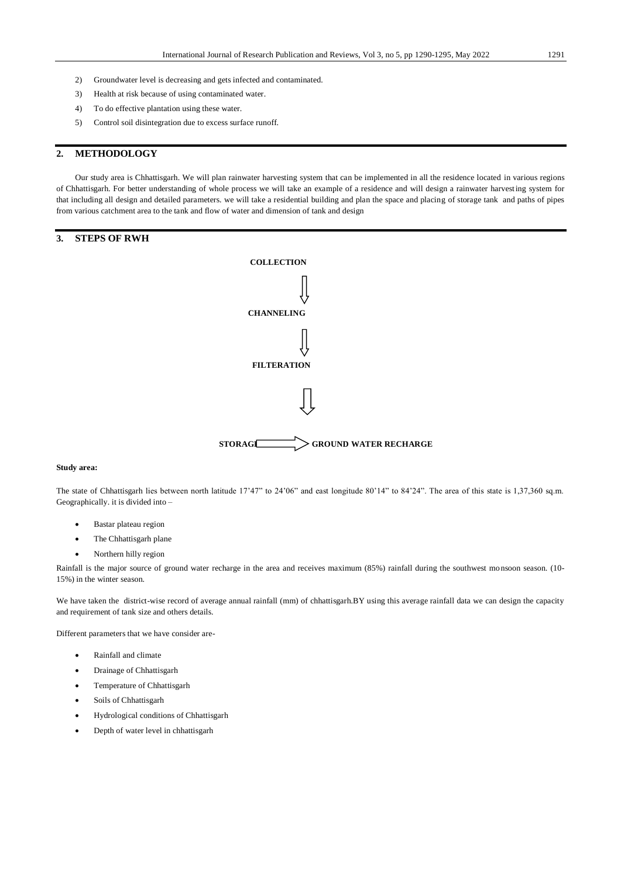- 2) Groundwater level is decreasing and gets infected and contaminated.
- 3) Health at risk because of using contaminated water.
- 4) To do effective plantation using these water.
- 5) Control soil disintegration due to excess surface runoff.

## **2. METHODOLOGY**

Our study area is Chhattisgarh. We will plan rainwater harvesting system that can be implemented in all the residence located in various regions of Chhattisgarh. For better understanding of whole process we will take an example of a residence and will design a rainwater harvesting system for that including all design and detailed parameters. we will take a residential building and plan the space and placing of storage tank and paths of pipes from various catchment area to the tank and flow of water and dimension of tank and design

## **3. STEPS OF RWH**



### **Study area:**

The state of Chhattisgarh lies between north latitude 17'47" to 24'06" and east longitude 80'14" to 84'24". The area of this state is 1,37,360 sq.m. Geographically. it is divided into –

- Bastar plateau region
- The Chhattisgarh plane
- Northern hilly region

Rainfall is the major source of ground water recharge in the area and receives maximum (85%) rainfall during the southwest monsoon season. (10- 15%) in the winter season.

We have taken the district-wise record of average annual rainfall (mm) of chhattisgarh.BY using this average rainfall data we can design the capacity and requirement of tank size and others details.

Different parameters that we have consider are-

- Rainfall and climate
- Drainage of Chhattisgarh
- Temperature of Chhattisgarh
- Soils of Chhattisgarh
- Hydrological conditions of Chhattisgarh
- Depth of water level in chhattisgarh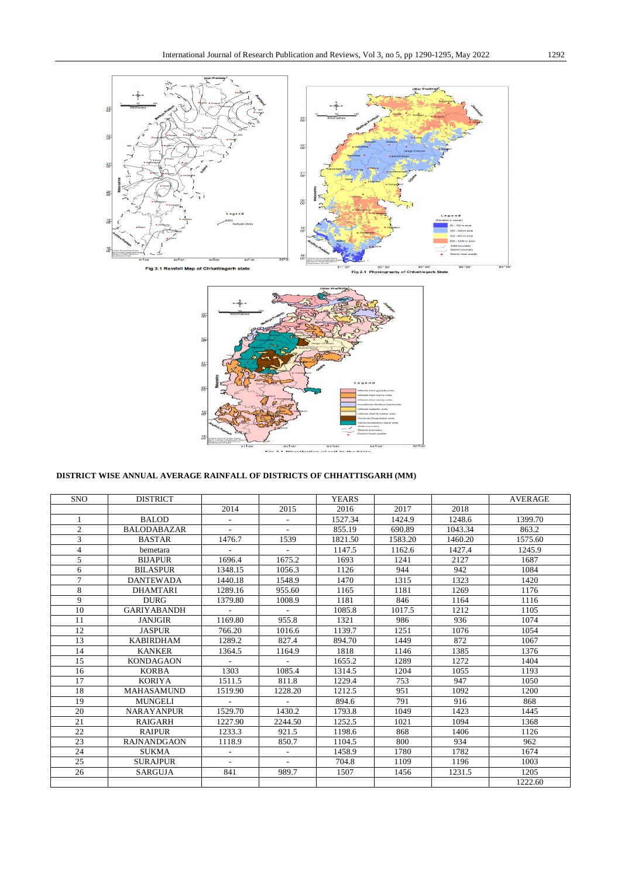



# **DISTRICT WISE ANNUAL AVERAGE RAINFALL OF DISTRICTS OF CHHATTISGARH (MM)**

| <b>SNO</b>     | <b>DISTRICT</b>    |                          |                          | <b>YEARS</b> |         |         | <b>AVERAGE</b> |
|----------------|--------------------|--------------------------|--------------------------|--------------|---------|---------|----------------|
|                |                    | 2014                     | 2015                     | 2016         | 2017    | 2018    |                |
| $\mathbf{1}$   | <b>BALOD</b>       |                          |                          | 1527.34      | 1424.9  | 1248.6  | 1399.70        |
| $\overline{2}$ | <b>BALODABAZAR</b> | $\sim$                   | $\sim$                   | 855.19       | 690.89  | 1043.34 | 863.2          |
| 3              | <b>BASTAR</b>      | 1476.7                   | 1539                     | 1821.50      | 1583.20 | 1460.20 | 1575.60        |
| $\overline{4}$ | bemetara           | $\overline{\phantom{a}}$ | $\sim$                   | 1147.5       | 1162.6  | 1427.4  | 1245.9         |
| 5              | <b>BIJAPUR</b>     | 1696.4                   | 1675.2                   | 1693         | 1241    | 2127    | 1687           |
| 6              | <b>BILASPUR</b>    | 1348.15                  | 1056.3                   | 1126         | 944     | 942     | 1084           |
| $\tau$         | <b>DANTEWADA</b>   | 1440.18                  | 1548.9                   | 1470         | 1315    | 1323    | 1420           |
| 8              | <b>DHAMTARI</b>    | 1289.16                  | 955.60                   | 1165         | 1181    | 1269    | 1176           |
| 9              | <b>DURG</b>        | 1379.80                  | 1008.9                   | 1181         | 846     | 1164    | 1116           |
| 10             | <b>GARIYABANDH</b> |                          |                          | 1085.8       | 1017.5  | 1212    | 1105           |
| 11             | <b>JANJGIR</b>     | 1169.80                  | 955.8                    | 1321         | 986     | 936     | 1074           |
| 12             | <b>JASPUR</b>      | 766.20                   | 1016.6                   | 1139.7       | 1251    | 1076    | 1054           |
| 13             | <b>KABIRDHAM</b>   | 1289.2                   | 827.4                    | 894.70       | 1449    | 872     | 1067           |
| 14             | <b>KANKER</b>      | 1364.5                   | 1164.9                   | 1818         | 1146    | 1385    | 1376           |
| 15             | <b>KONDAGAON</b>   | $\sim$                   | $\sim$                   | 1655.2       | 1289    | 1272    | 1404           |
| 16             | <b>KORBA</b>       | 1303                     | 1085.4                   | 1314.5       | 1204    | 1055    | 1193           |
| 17             | <b>KORIYA</b>      | 1511.5                   | 811.8                    | 1229.4       | 753     | 947     | 1050           |
| 18             | <b>MAHASAMUND</b>  | 1519.90                  | 1228.20                  | 1212.5       | 951     | 1092    | 1200           |
| 19             | <b>MUNGELI</b>     |                          | $\sim$                   | 894.6        | 791     | 916     | 868            |
| 20             | <b>NARAYANPUR</b>  | 1529.70                  | 1430.2                   | 1793.8       | 1049    | 1423    | 1445           |
| 21             | <b>RAIGARH</b>     | 1227.90                  | 2244.50                  | 1252.5       | 1021    | 1094    | 1368           |
| 22             | <b>RAIPUR</b>      | 1233.3                   | 921.5                    | 1198.6       | 868     | 1406    | 1126           |
| 23             | <b>RAJNANDGAON</b> | 1118.9                   | 850.7                    | 1104.5       | 800     | 934     | 962            |
| 24             | <b>SUKMA</b>       |                          | $\sim$                   | 1458.9       | 1780    | 1782    | 1674           |
| 25             | <b>SURAJPUR</b>    | $\sim$                   | $\overline{\phantom{a}}$ | 704.8        | 1109    | 1196    | 1003           |
| 26             | <b>SARGUJA</b>     | 841                      | 989.7                    | 1507         | 1456    | 1231.5  | 1205           |
|                |                    |                          |                          |              |         |         | 1222.60        |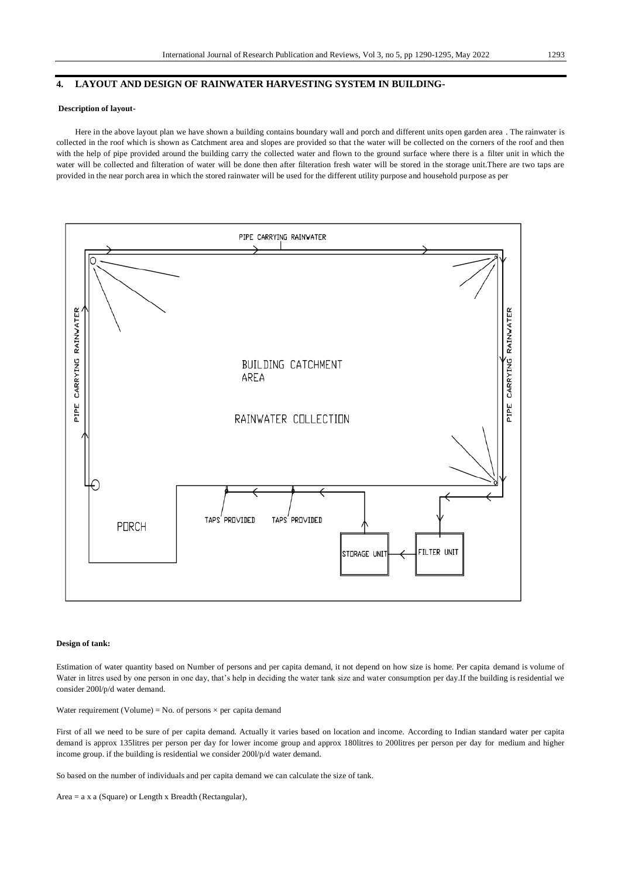### **4. LAYOUT AND DESIGN OF RAINWATER HARVESTING SYSTEM IN BUILDING-**

### **Description of layout-**

Here in the above layout plan we have shown a building contains boundary wall and porch and different units open garden area . The rainwater is collected in the roof which is shown as Catchment area and slopes are provided so that the water will be collected on the corners of the roof and then with the help of pipe provided around the building carry the collected water and flown to the ground surface where there is a filter unit in which the water will be collected and filteration of water will be done then after filteration fresh water will be stored in the storage unit.There are two taps are provided in the near porch area in which the stored rainwater will be used for the different utility purpose and household purpose as per



#### **Design of tank:**

Estimation of water quantity based on Number of persons and per capita demand, it not depend on how size is home. Per capita demand is volume of Water in litres used by one person in one day, that's help in deciding the water tank size and water consumption per day.If the building is residential we consider 200l/p/d water demand.

Water requirement (Volume) = No. of persons  $\times$  per capita demand

First of all we need to be sure of per capita demand. Actually it varies based on location and income. According to Indian standard water per capita demand is approx 135litres per person per day for lower income group and approx 180litres to 200litres per person per day for medium and higher income group. if the building is residential we consider 200l/p/d water demand.

So based on the number of individuals and per capita demand we can calculate the size of tank.

Area = a x a (Square) or Length x Breadth (Rectangular),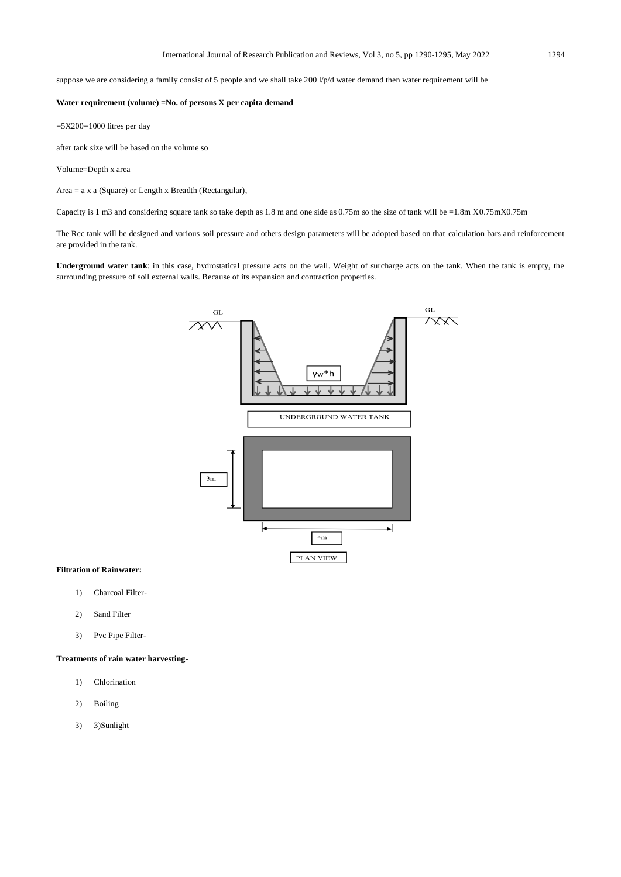suppose we are considering a family consist of 5 people.and we shall take 200 l/p/d water demand then water requirement will be

### **Water requirement (volume) =No. of persons X per capita demand**

 $=5X200=1000$  litres per day

after tank size will be based on the volume so

Volume=Depth x area

Area = a x a (Square) or Length x Breadth (Rectangular),

Capacity is 1 m3 and considering square tank so take depth as 1.8 m and one side as 0.75m so the size of tank will be =1.8m X0.75mX0.75m

The Rcc tank will be designed and various soil pressure and others design parameters will be adopted based on that calculation bars and reinforcement are provided in the tank.

**Underground water tank**: in this case, hydrostatical pressure acts on the wall. Weight of surcharge acts on the tank. When the tank is empty, the surrounding pressure of soil external walls. Because of its expansion and contraction properties.



#### **Filtration of Rainwater:**

- 1) Charcoal Filter-
- 2) Sand Filter
- 3) Pvc Pipe Filter-

## **Treatments of rain water harvesting-**

- 1) Chlorination
- 2) Boiling
- 3) 3)Sunlight